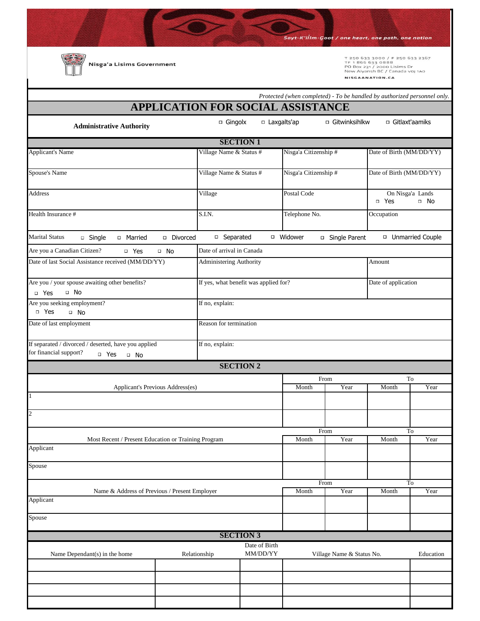Sayt-K'llim-Coot / one heart, one path, one nation

**Communication** 

Nisga'a Lisims Government

т 250 633 3000 / F 250 633 2367<br>тғ 1 866 633 0888<br>PO Box 231 / 2000 Lisims Dr<br>New Aiyansh BC / Canada voj 1A0 NISGAANATION.CA

|                                                                                                               | <b>APPLICATION FOR SOCIAL ASSISTANCE</b> |                                                  |           |                           | Protected (when completed) - To be handled by authorized personnel only. |                                        |  |  |
|---------------------------------------------------------------------------------------------------------------|------------------------------------------|--------------------------------------------------|-----------|---------------------------|--------------------------------------------------------------------------|----------------------------------------|--|--|
|                                                                                                               | $\Box$ Gingolx                           | □ Laxgalts'ap                                    |           | □ Gitwinksihlkw           |                                                                          | □ Gitlaxt'aamiks                       |  |  |
| <b>Administrative Authority</b>                                                                               |                                          |                                                  |           |                           |                                                                          |                                        |  |  |
|                                                                                                               |                                          | <b>SECTION 1</b>                                 |           |                           |                                                                          |                                        |  |  |
| <b>Applicant's Name</b>                                                                                       |                                          | Village Name & Status #<br>Nisga'a Citizenship # |           |                           | Date of Birth (MM/DD/YY)                                                 |                                        |  |  |
| Spouse's Name                                                                                                 |                                          | Village Name & Status #<br>Nisga'a Citizenship # |           |                           | Date of Birth (MM/DD/YY)                                                 |                                        |  |  |
| <b>Address</b>                                                                                                | Village                                  | Postal Code                                      |           |                           |                                                                          | On Nisga'a Lands<br>□ Yes<br>$\Box$ No |  |  |
| Health Insurance #                                                                                            | S.I.N.                                   | Telephone No.                                    |           |                           | Occupation                                                               |                                        |  |  |
| <b>Marital Status</b><br><sup>I</sup> Married<br>$\Box$ Single                                                | □ Separated<br>Divorced                  |                                                  | □ Widower | □ Single Parent           |                                                                          | □ Unmarried Couple                     |  |  |
| Are you a Canadian Citizen?<br>□ Yes                                                                          | Date of arrival in Canada<br>□ No        |                                                  |           |                           |                                                                          |                                        |  |  |
| Date of last Social Assistance received (MM/DD/YY)<br>Administering Authority                                 |                                          |                                                  |           |                           | Amount                                                                   |                                        |  |  |
| Are you / your spouse awaiting other benefits?<br>If yes, what benefit was applied for?<br>$\Box$ No<br>D Yes |                                          |                                                  |           |                           | Date of application                                                      |                                        |  |  |
| Are you seeking employment?<br>D Yes<br>$\Box$ No                                                             |                                          | If no, explain:                                  |           |                           |                                                                          |                                        |  |  |
| Date of last employment                                                                                       |                                          | Reason for termination                           |           |                           |                                                                          |                                        |  |  |
| If separated / divorced / deserted, have you applied                                                          |                                          | If no, explain:                                  |           |                           |                                                                          |                                        |  |  |
| for financial support?<br>$\neg$ Yes<br>$\Box$ No                                                             |                                          |                                                  |           |                           |                                                                          |                                        |  |  |
|                                                                                                               |                                          | <b>SECTION 2</b>                                 |           |                           |                                                                          |                                        |  |  |
|                                                                                                               |                                          |                                                  |           | From                      |                                                                          | To                                     |  |  |
| $\overline{1}$                                                                                                | Applicant's Previous Address(es)         |                                                  | Month     | Year                      | Month                                                                    | Year                                   |  |  |
|                                                                                                               |                                          |                                                  |           |                           |                                                                          |                                        |  |  |
| $\overline{c}$                                                                                                |                                          |                                                  |           |                           |                                                                          |                                        |  |  |
|                                                                                                               |                                          |                                                  |           | From                      |                                                                          | To                                     |  |  |
| Most Recent / Present Education or Training Program                                                           |                                          |                                                  | Month     | Year                      | Month                                                                    | Year                                   |  |  |
| Applicant                                                                                                     |                                          |                                                  |           |                           |                                                                          |                                        |  |  |
| Spouse                                                                                                        |                                          |                                                  |           |                           |                                                                          |                                        |  |  |
|                                                                                                               |                                          |                                                  | From      |                           |                                                                          | To                                     |  |  |
| Name & Address of Previous / Present Employer<br>Applicant                                                    |                                          |                                                  | Month     | Year                      | Month                                                                    | Year                                   |  |  |
| Spouse                                                                                                        |                                          |                                                  |           |                           |                                                                          |                                        |  |  |
|                                                                                                               |                                          | <b>SECTION 3</b>                                 |           |                           |                                                                          |                                        |  |  |
| Name Dependant(s) in the home                                                                                 | Relationship                             | Date of Birth<br>MM/DD/YY                        |           | Village Name & Status No. |                                                                          | Education                              |  |  |
|                                                                                                               |                                          |                                                  |           |                           |                                                                          |                                        |  |  |
|                                                                                                               |                                          |                                                  |           |                           |                                                                          |                                        |  |  |
|                                                                                                               |                                          |                                                  |           |                           |                                                                          |                                        |  |  |
|                                                                                                               |                                          |                                                  |           |                           |                                                                          |                                        |  |  |